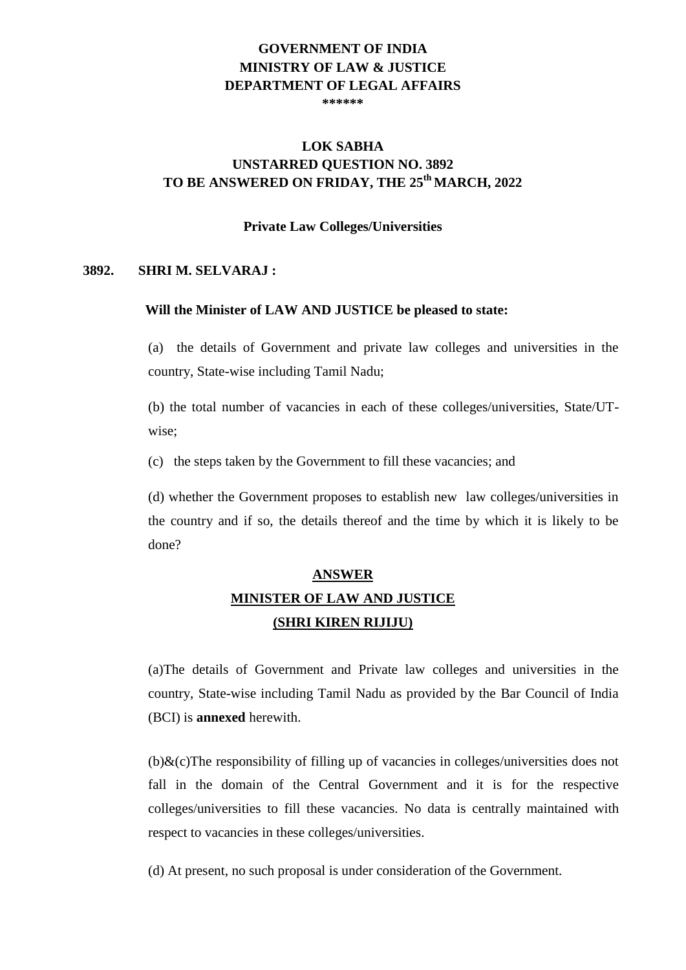#### **GOVERNMENT OF INDIA MINISTRY OF LAW & JUSTICE DEPARTMENT OF LEGAL AFFAIRS \*\*\*\*\*\***

# **LOK SABHA UNSTARRED QUESTION NO. 3892 TO BE ANSWERED ON FRIDAY, THE 25th MARCH, 2022**

#### **Private Law Colleges/Universities**

### **3892. SHRI M. SELVARAJ :**

### **Will the Minister of LAW AND JUSTICE be pleased to state:**

(a) the details of Government and private law colleges and universities in the country, State-wise including Tamil Nadu;

(b) the total number of vacancies in each of these colleges/universities, State/UTwise;

(c) the steps taken by the Government to fill these vacancies; and

(d) whether the Government proposes to establish new law colleges/universities in the country and if so, the details thereof and the time by which it is likely to be done?

# **ANSWER MINISTER OF LAW AND JUSTICE (SHRI KIREN RIJIJU)**

(a)The details of Government and Private law colleges and universities in the country, State-wise including Tamil Nadu as provided by the Bar Council of India (BCI) is **annexed** herewith.

(b)&(c)The responsibility of filling up of vacancies in colleges/universities does not fall in the domain of the Central Government and it is for the respective colleges/universities to fill these vacancies. No data is centrally maintained with respect to vacancies in these colleges/universities.

(d) At present, no such proposal is under consideration of the Government.